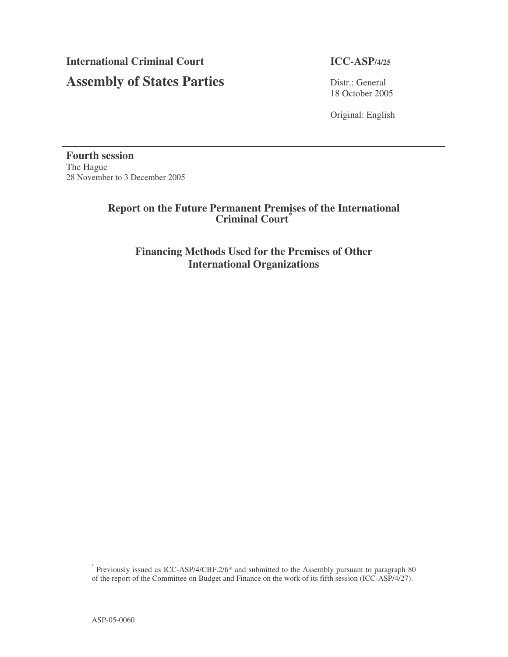### **Assembly of States Parties** Distr.: General

## 18 October 2005

Original: English

**Fourth session** The Hague 28 November to 3 December 2005

#### **Report on the Future Permanent Premises of the International Criminal Court \***

**Financing Methods Used for the Premises of Other International Organizations**

<sup>\*</sup> Previously issued as ICC-ASP/4/CBF.2/6\* and submitted to the Assembly pursuant to paragraph 80 of the report of the Committee on Budget and Finance on the work of its fifth session (ICC-ASP/4/27).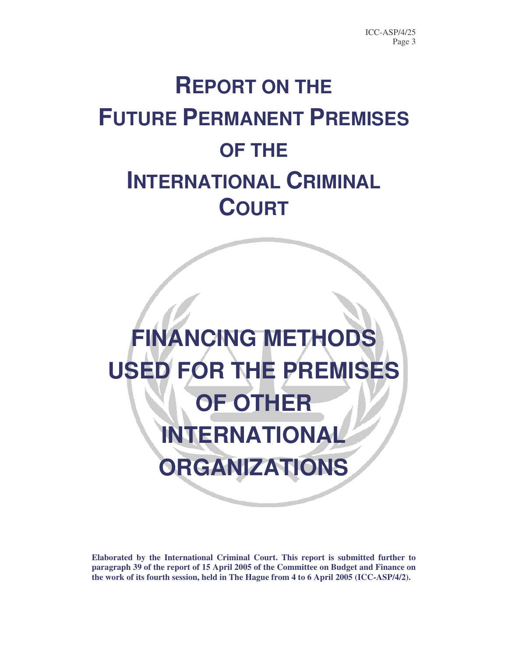# **REPORT ON THE FUTURE PERMANENT PREMISES OF THE INTERNATIONAL CRIMINAL COURT**



**Elaborated by the International Criminal Court. This report is submitted further to paragraph 39 of the report of 15 April 2005 of the Committee on Budget and Finance on the work of its fourth session, held in The Hague from 4 to 6 April 2005 (ICC-ASP/4/2).**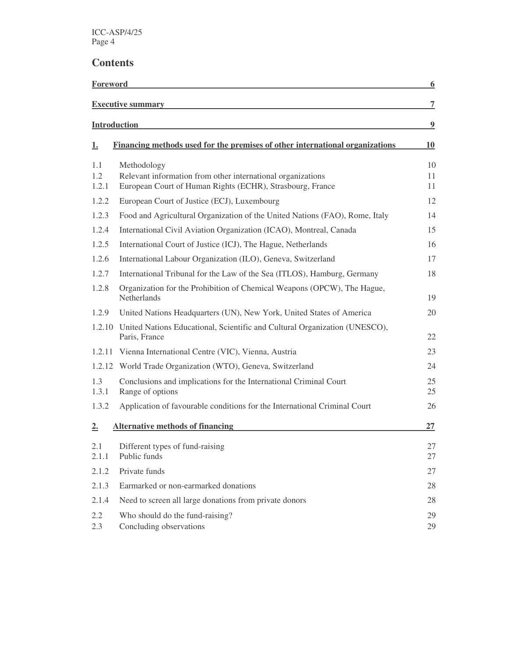| Foreword     |                                                                                                                          | 6              |
|--------------|--------------------------------------------------------------------------------------------------------------------------|----------------|
|              | <b>Executive summary</b>                                                                                                 | $\overline{7}$ |
|              | <b>Introduction</b>                                                                                                      | 9              |
| <u>1.</u>    | Financing methods used for the premises of other international organizations                                             | 10             |
| 1.1          | Methodology                                                                                                              | 10             |
| 1.2<br>1.2.1 | Relevant information from other international organizations<br>European Court of Human Rights (ECHR), Strasbourg, France | 11<br>11       |
| 1.2.2        | European Court of Justice (ECJ), Luxembourg                                                                              | 12             |
| 1.2.3        | Food and Agricultural Organization of the United Nations (FAO), Rome, Italy                                              | 14             |
| 1.2.4        | International Civil Aviation Organization (ICAO), Montreal, Canada                                                       | 15             |
| 1.2.5        | International Court of Justice (ICJ), The Hague, Netherlands                                                             | 16             |
| 1.2.6        | International Labour Organization (ILO), Geneva, Switzerland                                                             | 17             |
| 1.2.7        | International Tribunal for the Law of the Sea (ITLOS), Hamburg, Germany                                                  | 18             |
| 1.2.8        | Organization for the Prohibition of Chemical Weapons (OPCW), The Hague,<br>Netherlands                                   | 19             |
| 1.2.9        | United Nations Headquarters (UN), New York, United States of America                                                     | 20             |
| 1.2.10       | United Nations Educational, Scientific and Cultural Organization (UNESCO),<br>Paris, France                              | 22             |
|              | 1.2.11 Vienna International Centre (VIC), Vienna, Austria                                                                | 23             |
| 1.2.12       | World Trade Organization (WTO), Geneva, Switzerland                                                                      | 24             |
| 1.3<br>1.3.1 | Conclusions and implications for the International Criminal Court<br>Range of options                                    | 25<br>25       |
| 1.3.2        | Application of favourable conditions for the International Criminal Court                                                | 26             |
| 2.           | <b>Alternative methods of financing</b>                                                                                  | 27             |
| 2.1<br>2.1.1 | Different types of fund-raising<br>Public funds                                                                          | 27<br>27       |
| 2.1.2        | Private funds                                                                                                            | 27             |
| 2.1.3        | Earmarked or non-earmarked donations                                                                                     | 28             |
| 2.1.4        | Need to screen all large donations from private donors                                                                   | 28             |
| 2.2<br>2.3   | Who should do the fund-raising?<br>Concluding observations                                                               | 29<br>29       |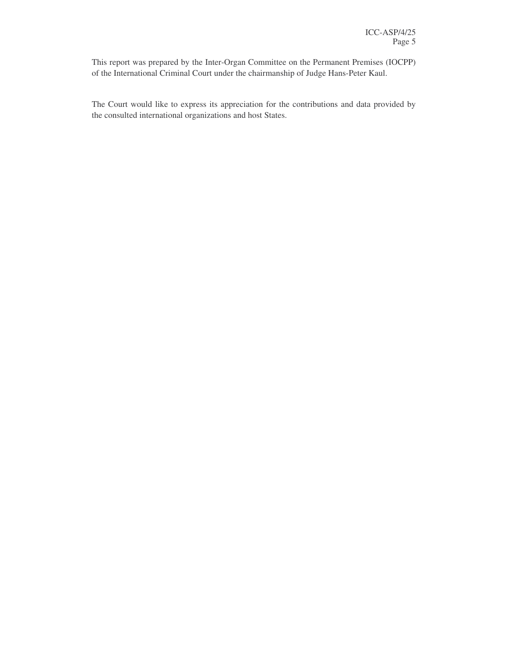This report was prepared by the Inter-Organ Committee on the Permanent Premises (IOCPP) of the International Criminal Court under the chairmanship of Judge Hans-Peter Kaul.

The Court would like to express its appreciation for the contributions and data provided by the consulted international organizations and host States.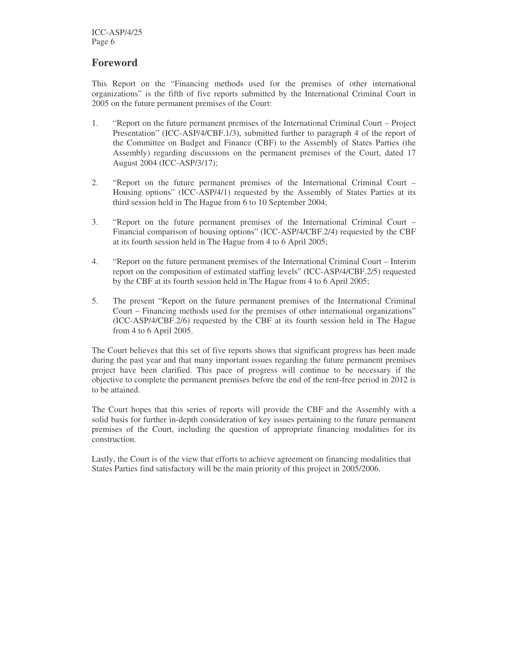#### **Foreword**

This Report on the "Financing methods used for the premises of other international organizations" is the fifth of five reports submitted by the International Criminal Court in 2005 on the future permanent premises of the Court:

- 1. "Report on the future permanent premises of the International Criminal Court Project Presentation" (ICC-ASP/4/CBF.1/3), submitted further to paragraph 4 of the report of the Committee on Budget and Finance (CBF) to the Assembly of States Parties (the Assembly) regarding discussions on the permanent premises of the Court, dated 17 August 2004 (ICC-ASP/3/17);
- 2. "Report on the future permanent premises of the International Criminal Court Housing options" (ICC-ASP/4/1) requested by the Assembly of States Parties at its third session held in The Hague from 6 to 10 September 2004;
- 3. "Report on the future permanent premises of the International Criminal Court Financial comparison of housing options" (ICC-ASP/4/CBF.2/4) requested by the CBF at its fourth session held in The Hague from 4 to 6 April 2005;
- 4. "Report on the future permanent premises of the International Criminal Court Interim report on the composition of estimated staffing levels" (ICC-ASP/4/CBF.2/5) requested by the CBF at its fourth session held in The Hague from 4 to 6 April 2005;
- 5. The present "Report on the future permanent premises of the International Criminal Court – Financing methods used for the premises of other international organizations" (ICC-ASP/4/CBF.2/6) requested by the CBF at its fourth session held in The Hague from 4 to 6 April 2005.

The Court believes that this set of five reports shows that significant progress has been made during the past year and that many important issues regarding the future permanent premises project have been clarified. This pace of progress will continue to be necessary if the objective to complete the permanent premises before the end of the rent-free period in 2012 is to be attained.

The Court hopes that this series of reports will provide the CBF and the Assembly with a solid basis for further in-depth consideration of key issues pertaining to the future permanent premises of the Court, including the question of appropriate financing modalities for its construction.

Lastly, the Court is of the view that efforts to achieve agreement on financing modalities that States Parties find satisfactory will be the main priority of this project in 2005/2006.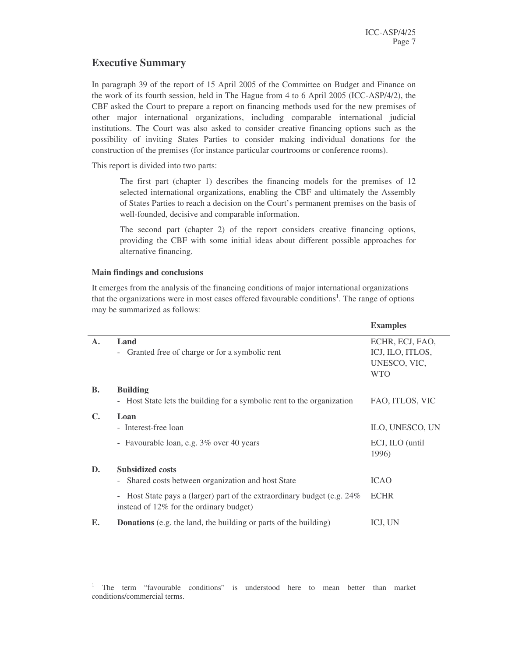#### **Executive Summary**

In paragraph 39 of the report of 15 April 2005 of the Committee on Budget and Finance on the work of its fourth session, held in The Hague from 4 to 6 April 2005 (ICC-ASP/4/2), the CBF asked the Court to prepare a report on financing methods used for the new premises of other major international organizations, including comparable international judicial institutions. The Court was also asked to consider creative financing options such as the possibility of inviting States Parties to consider making individual donations for the construction of the premises (for instance particular courtrooms or conference rooms).

This report is divided into two parts:

The first part (chapter 1) describes the financing models for the premises of 12 selected international organizations, enabling the CBF and ultimately the Assembly of States Parties to reach a decision on the Court's permanent premises on the basis of well-founded, decisive and comparable information.

The second part (chapter 2) of the report considers creative financing options, providing the CBF with some initial ideas about different possible approaches for alternative financing.

#### **Main findings and conclusions**

It emerges from the analysis of the financing conditions of major international organizations that the organizations were in most cases offered favourable conditions<sup>1</sup>. The range of options may be summarized as follows:

|                |                                                                                                                    | <b>Examples</b>                                                   |
|----------------|--------------------------------------------------------------------------------------------------------------------|-------------------------------------------------------------------|
| $\mathbf{A}$ . | Land<br>- Granted free of charge or for a symbolic rent                                                            | ECHR, ECJ, FAO,<br>ICJ, ILO, ITLOS,<br>UNESCO, VIC,<br><b>WTO</b> |
| <b>B.</b>      | <b>Building</b><br>- Host State lets the building for a symbolic rent to the organization                          | FAO, ITLOS, VIC                                                   |
| $\mathbf{C}$ . | Loan<br>- Interest-free loan                                                                                       | ILO, UNESCO, UN                                                   |
|                | - Favourable loan, e.g. 3% over 40 years                                                                           | ECJ, ILO (until<br>1996)                                          |
| D.             | <b>Subsidized costs</b><br>Shared costs between organization and host State<br>$\overline{\phantom{a}}$            | <b>ICAO</b>                                                       |
|                | - Host State pays a (larger) part of the extraordinary budget (e.g. 24%<br>instead of 12% for the ordinary budget) | <b>ECHR</b>                                                       |
| Е.             | <b>Donations</b> (e.g. the land, the building or parts of the building)                                            | ICJ, UN                                                           |

<sup>&</sup>lt;sup>1</sup> The term "favourable conditions" is understood here to mean better than market conditions/commercial terms.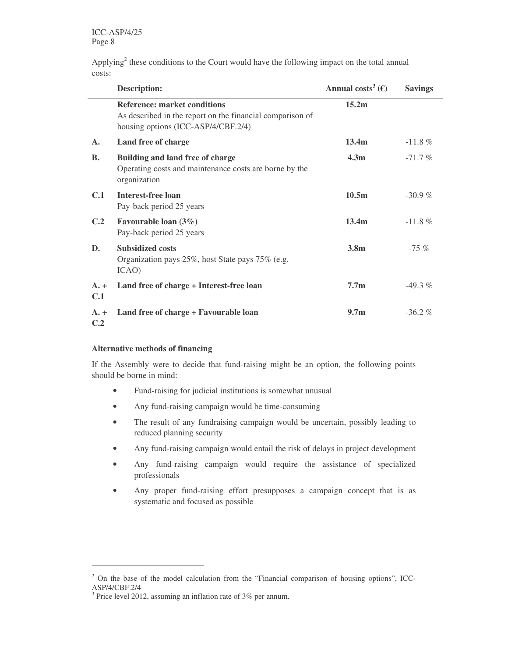Applying<sup>2</sup> these conditions to the Court would have the following impact on the total annual costs:

|                          | <b>Description:</b>                                                                                                                     | Annual costs <sup>3</sup> ( $\epsilon$ ) | <b>Savings</b> |
|--------------------------|-----------------------------------------------------------------------------------------------------------------------------------------|------------------------------------------|----------------|
|                          | <b>Reference: market conditions</b><br>As described in the report on the financial comparison of<br>housing options (ICC-ASP/4/CBF.2/4) | 15.2m                                    |                |
| $\mathbf{A}$ .           | Land free of charge                                                                                                                     | 13.4 <sub>m</sub>                        | $-11.8\%$      |
| <b>B.</b>                | Building and land free of charge<br>Operating costs and maintenance costs are borne by the<br>organization                              | 4.3 <sub>m</sub>                         | $-71.7%$       |
| C.1                      | <b>Interest-free loan</b><br>Pay-back period 25 years                                                                                   | 10.5m                                    | $-30.9%$       |
| C.2                      | Favourable loan $(3\%)$<br>Pay-back period 25 years                                                                                     | 13.4 <sub>m</sub>                        | $-11.8 \%$     |
| D.                       | <b>Subsidized costs</b><br>Organization pays 25%, host State pays 75% (e.g.<br>ICAO)                                                    | 3.8 <sub>m</sub>                         | $-75\%$        |
| $A. +$<br>C.1            | Land free of charge + Interest-free loan                                                                                                | 7.7 <sub>m</sub>                         | $-49.3\%$      |
| $A. +$<br>C <sub>2</sub> | Land free of charge + Favourable loan                                                                                                   | 9.7 <sub>m</sub>                         | $-36.2%$       |

#### **Alternative methods of financing**

If the Assembly were to decide that fund-raising might be an option, the following points should be borne in mind:

- Fund-raising for judicial institutions is somewhat unusual
- Any fund-raising campaign would be time-consuming
- The result of any fundraising campaign would be uncertain, possibly leading to reduced planning security
- Any fund-raising campaign would entail the risk of delays in project development
- Any fund-raising campaign would require the assistance of specialized professionals
- Any proper fund-raising effort presupposes a campaign concept that is as systematic and focused as possible

<sup>&</sup>lt;sup>2</sup> On the base of the model calculation from the "Financial comparison of housing options", ICC-ASP/4/CBF.2/4

<sup>&</sup>lt;sup>3</sup> Price level 2012, assuming an inflation rate of 3% per annum.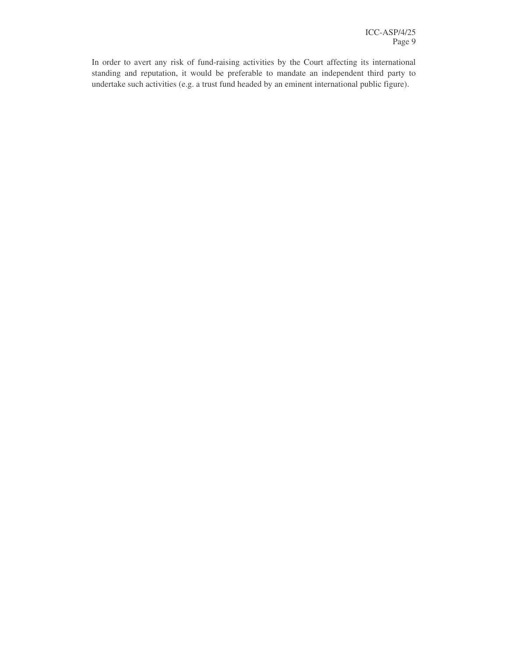In order to avert any risk of fund-raising activities by the Court affecting its international standing and reputation, it would be preferable to mandate an independent third party to undertake such activities (e.g. a trust fund headed by an eminent international public figure).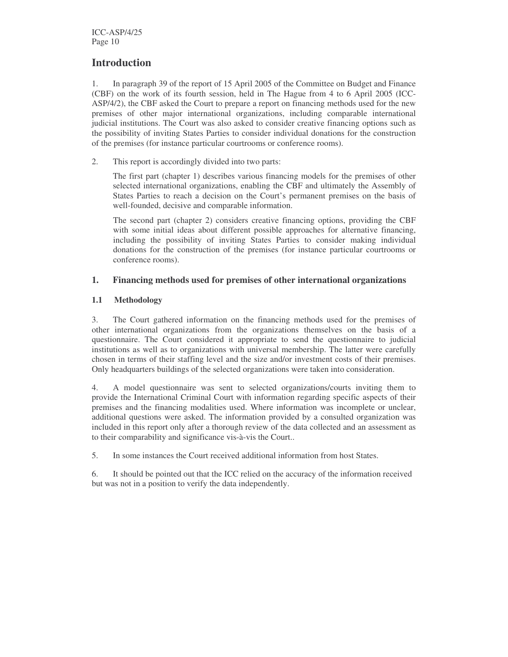#### **Introduction**

1. In paragraph 39 of the report of 15 April 2005 of the Committee on Budget and Finance (CBF) on the work of its fourth session, held in The Hague from 4 to 6 April 2005 (ICC-ASP/4/2), the CBF asked the Court to prepare a report on financing methods used for the new premises of other major international organizations, including comparable international judicial institutions. The Court was also asked to consider creative financing options such as the possibility of inviting States Parties to consider individual donations for the construction of the premises (for instance particular courtrooms or conference rooms).

2. This report is accordingly divided into two parts:

The first part (chapter 1) describes various financing models for the premises of other selected international organizations, enabling the CBF and ultimately the Assembly of States Parties to reach a decision on the Court's permanent premises on the basis of well-founded, decisive and comparable information.

The second part (chapter 2) considers creative financing options, providing the CBF with some initial ideas about different possible approaches for alternative financing, including the possibility of inviting States Parties to consider making individual donations for the construction of the premises (for instance particular courtrooms or conference rooms).

#### **1. Financing methods used for premises of other international organizations**

#### **1.1 Methodology**

3. The Court gathered information on the financing methods used for the premises of other international organizations from the organizations themselves on the basis of a questionnaire. The Court considered it appropriate to send the questionnaire to judicial institutions as well as to organizations with universal membership. The latter were carefully chosen in terms of their staffing level and the size and/or investment costs of their premises. Only headquarters buildings of the selected organizations were taken into consideration.

4. A model questionnaire was sent to selected organizations/courts inviting them to provide the International Criminal Court with information regarding specific aspects of their premises and the financing modalities used. Where information was incomplete or unclear, additional questions were asked. The information provided by a consulted organization was included in this report only after a thorough review of the data collected and an assessment as to their comparability and significance vis-à-vis the Court..

5. In some instances the Court received additional information from host States.

6. It should be pointed out that the ICC relied on the accuracy of the information received but was not in a position to verify the data independently.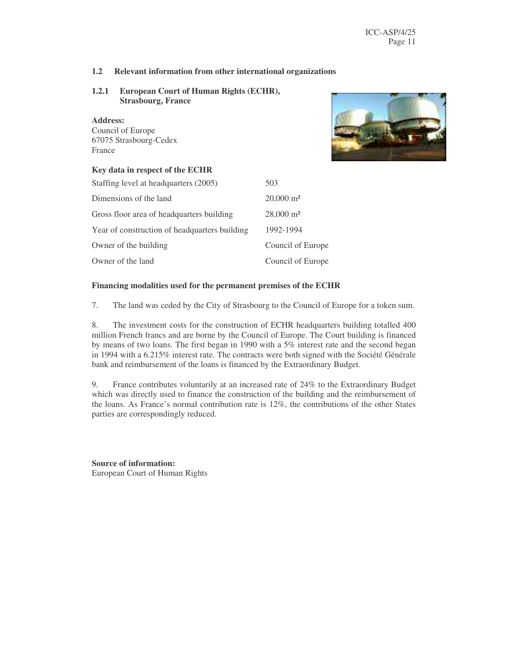#### **1.2 Relevant information from other international organizations**

#### **1.2.1 European Court of Human Rights (ECHR), Strasbourg, France**

#### **Address:**

Council of Europe 67075 Strasbourg-Cedex France



#### **Key data in respect of the ECHR**

| Staffing level at headquarters (2005)         | 503                  |
|-----------------------------------------------|----------------------|
| Dimensions of the land                        | $20,000 \text{ m}^2$ |
| Gross floor area of headquarters building     | $28,000 \text{ m}^2$ |
| Year of construction of headquarters building | 1992-1994            |
| Owner of the building                         | Council of Europe    |
| Owner of the land                             | Council of Europe    |

#### **Financing modalities used for the permanent premises of the ECHR**

7. The land was ceded by the City of Strasbourg to the Council of Europe for a token sum.

8. The investment costs for the construction of ECHR headquarters building totalled 400 million French francs and are borne by the Council of Europe. The Court building is financed by means of two loans. The first began in 1990 with a 5% interest rate and the second began in 1994 with a 6.215% interest rate. The contracts were both signed with the Société Générale bank and reimbursement of the loans is financed by the Extraordinary Budget.

9. France contributes voluntarily at an increased rate of 24% to the Extraordinary Budget which was directly used to finance the construction of the building and the reimbursement of the loans. As France's normal contribution rate is 12%, the contributions of the other States parties are correspondingly reduced.

**Source of information:** European Court of Human Rights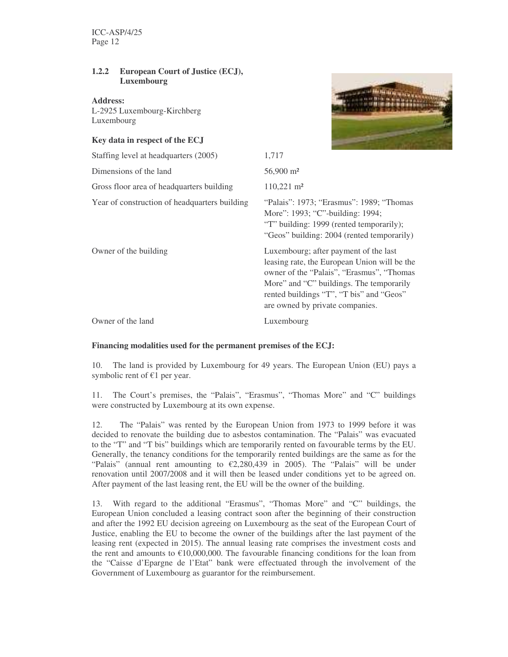#### **1.2.2 European Court of Justice (ECJ), Luxembourg**

**Address:** L-2925 Luxembourg-Kirchberg Luxembourg

#### **Key data in respect of the ECJ**



| Staffing level at headquarters (2005)         | 1,717                                                                                                                                                                                                                                                         |
|-----------------------------------------------|---------------------------------------------------------------------------------------------------------------------------------------------------------------------------------------------------------------------------------------------------------------|
| Dimensions of the land                        | 56,900 m <sup>2</sup>                                                                                                                                                                                                                                         |
| Gross floor area of headquarters building     | $110,221 \text{ m}^2$                                                                                                                                                                                                                                         |
| Year of construction of headquarters building | "Palais": 1973; "Erasmus": 1989; "Thomas"<br>More": 1993; "C"-building: 1994;<br>"T" building: 1999 (rented temporarily);<br>"Geos" building: 2004 (rented temporarily)                                                                                       |
| Owner of the building                         | Luxembourg; after payment of the last<br>leasing rate, the European Union will be the<br>owner of the "Palais", "Erasmus", "Thomas<br>More" and "C" buildings. The temporarily<br>rented buildings "T", "T bis" and "Geos"<br>are owned by private companies. |
| Owner of the land                             | Luxembourg                                                                                                                                                                                                                                                    |

#### **Financing modalities used for the permanent premises of the ECJ:**

10. The land is provided by Luxembourg for 49 years. The European Union (EU) pays a symbolic rent of  $E1$  per year.

11. The Court's premises, the "Palais", "Erasmus", "Thomas More" and "C" buildings were constructed by Luxembourg at its own expense.

12. The "Palais" was rented by the European Union from 1973 to 1999 before it was decided to renovate the building due to asbestos contamination. The "Palais" was evacuated to the "T" and "T bis" buildings which are temporarily rented on favourable terms by the EU. Generally, the tenancy conditions for the temporarily rented buildings are the same as for the "Palais" (annual rent amounting to  $\epsilon$ 2,280,439 in 2005). The "Palais" will be under renovation until 2007/2008 and it will then be leased under conditions yet to be agreed on. After payment of the last leasing rent, the EU will be the owner of the building.

13. With regard to the additional "Erasmus", "Thomas More" and "C" buildings, the European Union concluded a leasing contract soon after the beginning of their construction and after the 1992 EU decision agreeing on Luxembourg as the seat of the European Court of Justice, enabling the EU to become the owner of the buildings after the last payment of the leasing rent (expected in 2015). The annual leasing rate comprises the investment costs and the rent and amounts to  $\epsilon$ 10,000,000. The favourable financing conditions for the loan from the "Caisse d'Epargne de l'Etat" bank were effectuated through the involvement of the Government of Luxembourg as guarantor for the reimbursement.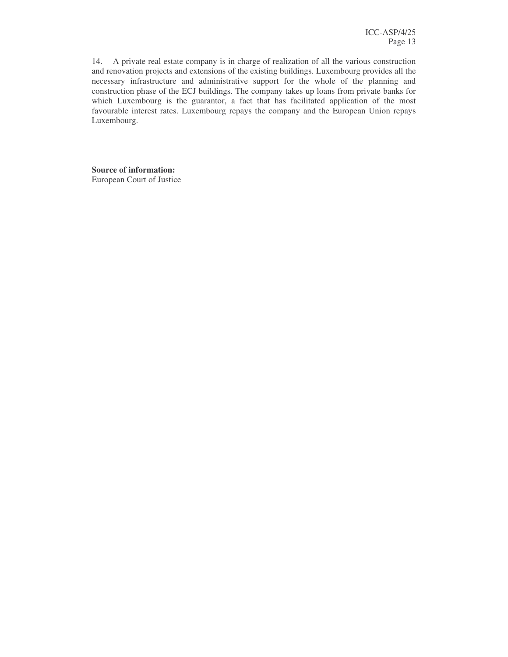14. A private real estate company is in charge of realization of all the various construction and renovation projects and extensions of the existing buildings. Luxembourg provides all the necessary infrastructure and administrative support for the whole of the planning and construction phase of the ECJ buildings. The company takes up loans from private banks for which Luxembourg is the guarantor, a fact that has facilitated application of the most favourable interest rates. Luxembourg repays the company and the European Union repays Luxembourg.

**Source of information:** European Court of Justice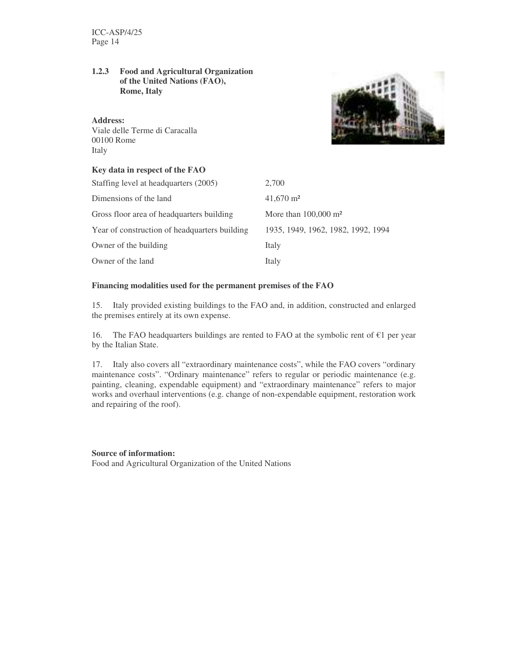#### **1.2.3 Food and Agricultural Organization of the United Nations (FAO), Rome, Italy**

#### **Address:**

Viale delle Terme di Caracalla 00100 Rome Italy



#### **Key data in respect of the FAO**

| Staffing level at headquarters (2005)         | 2.700                              |
|-----------------------------------------------|------------------------------------|
| Dimensions of the land                        | $41,670 \text{ m}^2$               |
| Gross floor area of headquarters building     | More than $100,000$ m <sup>2</sup> |
| Year of construction of headquarters building | 1935, 1949, 1962, 1982, 1992, 1994 |
| Owner of the building                         | Italy                              |
| Owner of the land                             | Italy                              |

#### **Financing modalities used for the permanent premises of the FAO**

15. Italy provided existing buildings to the FAO and, in addition, constructed and enlarged the premises entirely at its own expense.

16. The FAO headquarters buildings are rented to FAO at the symbolic rent of  $\epsilon$ 1 per year by the Italian State.

17. Italy also covers all "extraordinary maintenance costs", while the FAO covers "ordinary maintenance costs". "Ordinary maintenance" refers to regular or periodic maintenance (e.g. painting, cleaning, expendable equipment) and "extraordinary maintenance" refers to major works and overhaul interventions (e.g. change of non-expendable equipment, restoration work and repairing of the roof).

#### **Source of information:**

Food and Agricultural Organization of the United Nations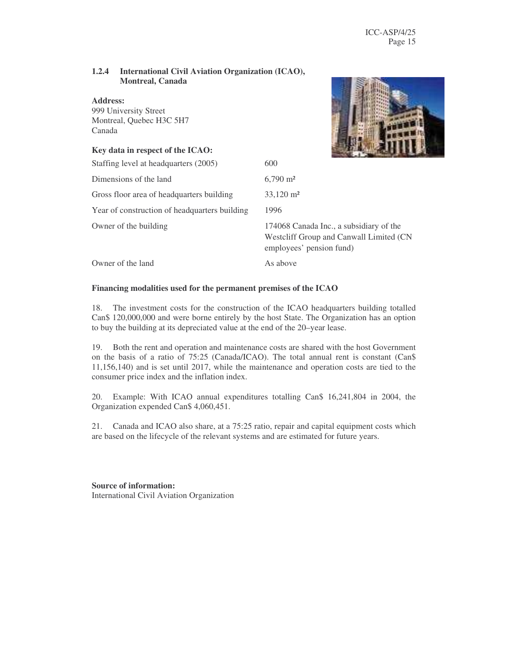#### **1.2.4 International Civil Aviation Organization (ICAO), Montreal, Canada**

#### **Address:**

999 University Street Montreal, Quebec H3C 5H7 Canada

#### **Key data in respect of the ICAO:**

| $\mathbf{r}_1, \mathbf{r}_2, \mathbf{r}_3, \mathbf{r}_4, \mathbf{r}_5, \mathbf{r}_6, \mathbf{r}_7, \mathbf{r}_8, \mathbf{r}_9$ |                                                                                                                |
|--------------------------------------------------------------------------------------------------------------------------------|----------------------------------------------------------------------------------------------------------------|
| Staffing level at headquarters (2005)                                                                                          | 600                                                                                                            |
| Dimensions of the land                                                                                                         | $6,790 \text{ m}^2$                                                                                            |
| Gross floor area of headquarters building                                                                                      | $33,120 \text{ m}^2$                                                                                           |
| Year of construction of headquarters building                                                                                  | 1996                                                                                                           |
| Owner of the building                                                                                                          | 174068 Canada Inc., a subsidiary of the<br>Westcliff Group and Canwall Limited (CN<br>employees' pension fund) |
| Owner of the land                                                                                                              | As above                                                                                                       |

#### **Financing modalities used for the permanent premises of the ICAO**

18. The investment costs for the construction of the ICAO headquarters building totalled Can\$ 120,000,000 and were borne entirely by the host State. The Organization has an option to buy the building at its depreciated value at the end of the 20–year lease.

19. Both the rent and operation and maintenance costs are shared with the host Government on the basis of a ratio of 75:25 (Canada/ICAO). The total annual rent is constant (Can\$ 11,156,140) and is set until 2017, while the maintenance and operation costs are tied to the consumer price index and the inflation index.

20. Example: With ICAO annual expenditures totalling Can\$ 16,241,804 in 2004, the Organization expended Can\$ 4,060,451.

21. Canada and ICAO also share, at a 75:25 ratio, repair and capital equipment costs which are based on the lifecycle of the relevant systems and are estimated for future years.

**Source of information:** International Civil Aviation Organization

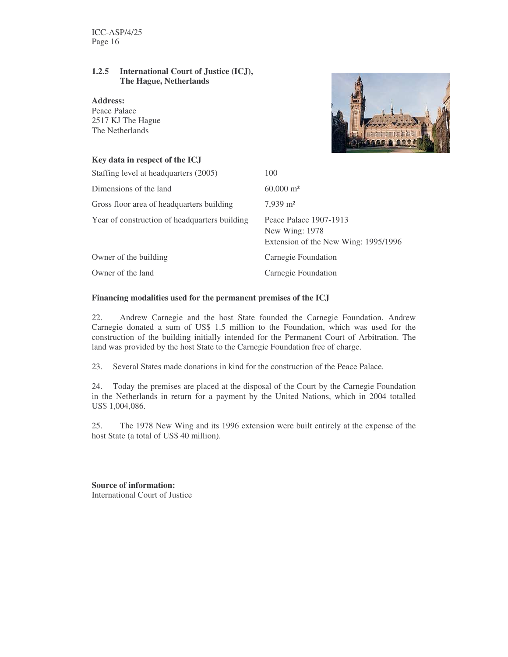#### **1.2.5 International Court of Justice (ICJ), The Hague, Netherlands**

**Address:** Peace Palace 2517 KJ The Hague The Netherlands



### **Key data in respect of the ICJ** Staffing level at headquarters (2005) 100 Dimensions of the land 60,000 m<sup>2</sup> Gross floor area of headquarters building 7,939 m<sup>2</sup> Year of construction of headquarters building Peace Palace 1907-1913 New Wing: 1978 Extension of the New Wing: 1995/1996 Owner of the building Carnegie Foundation Owner of the land Carnegie Foundation

#### **Financing modalities used for the permanent premises of the ICJ**

22. Andrew Carnegie and the host State founded the Carnegie Foundation. Andrew Carnegie donated a sum of US\$ 1.5 million to the Foundation, which was used for the construction of the building initially intended for the Permanent Court of Arbitration. The land was provided by the host State to the Carnegie Foundation free of charge.

23. Several States made donations in kind for the construction of the Peace Palace.

24. Today the premises are placed at the disposal of the Court by the Carnegie Foundation in the Netherlands in return for a payment by the United Nations, which in 2004 totalled US\$ 1,004,086.

25. The 1978 New Wing and its 1996 extension were built entirely at the expense of the host State (a total of US\$ 40 million).

**Source of information:** International Court of Justice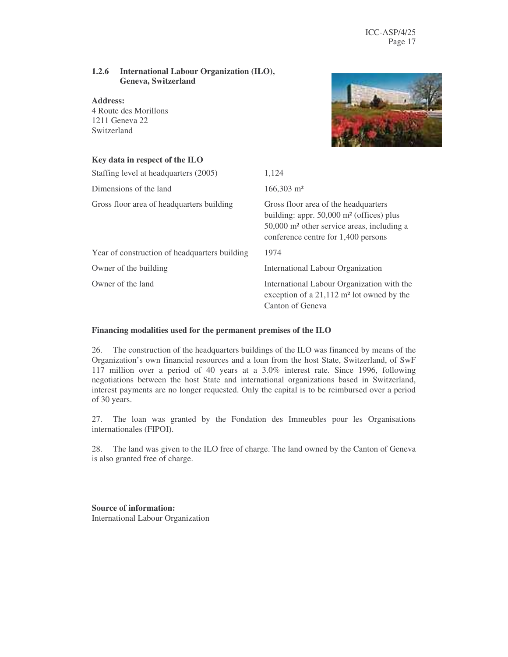#### **1.2.6 International Labour Organization (ILO), Geneva, Switzerland**

**Address:** 4 Route des Morillons 1211 Geneva 22 Switzerland



| Key data in respect of the ILO                |                                                                                                                                                                                                 |
|-----------------------------------------------|-------------------------------------------------------------------------------------------------------------------------------------------------------------------------------------------------|
| Staffing level at headquarters (2005)         | 1,124                                                                                                                                                                                           |
| Dimensions of the land                        | $166,303 \text{ m}^2$                                                                                                                                                                           |
| Gross floor area of headquarters building     | Gross floor area of the headquarters<br>building: appr. $50,000$ m <sup>2</sup> (offices) plus<br>50,000 m <sup>2</sup> other service areas, including a<br>conference centre for 1,400 persons |
| Year of construction of headquarters building | 1974                                                                                                                                                                                            |
| Owner of the building                         | International Labour Organization                                                                                                                                                               |
| Owner of the land                             | International Labour Organization with the<br>exception of a $21,112$ m <sup>2</sup> lot owned by the<br>Canton of Geneva                                                                       |

#### **Financing modalities used for the permanent premises of the ILO**

26. The construction of the headquarters buildings of the ILO was financed by means of the Organization's own financial resources and a loan from the host State, Switzerland, of SwF 117 million over a period of 40 years at a 3.0% interest rate. Since 1996, following negotiations between the host State and international organizations based in Switzerland, interest payments are no longer requested. Only the capital is to be reimbursed over a period of 30 years.

27. The loan was granted by the Fondation des Immeubles pour les Organisations internationales (FIPOI).

28. The land was given to the ILO free of charge. The land owned by the Canton of Geneva is also granted free of charge.

**Source of information:** International Labour Organization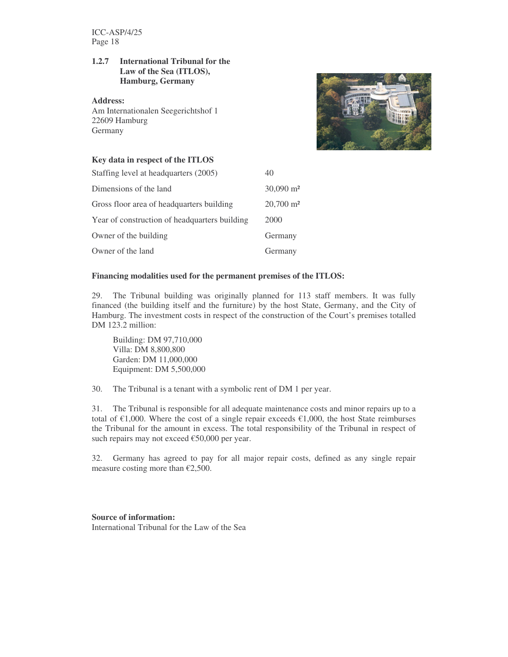#### **1.2.7 International Tribunal for the Law of the Sea (ITLOS), Hamburg, Germany**

**Address:** Am Internationalen Seegerichtshof 1 22609 Hamburg **Germany** 



#### **Key data in respect of the ITLOS**

| Staffing level at headquarters (2005)         | 40                      |
|-----------------------------------------------|-------------------------|
| Dimensions of the land                        | $30,090$ m <sup>2</sup> |
| Gross floor area of headquarters building     | $20,700 \text{ m}^2$    |
| Year of construction of headquarters building | 2000                    |
| Owner of the building                         | Germany                 |
| Owner of the land                             | Germany                 |

#### **Financing modalities used for the permanent premises of the ITLOS:**

29. The Tribunal building was originally planned for 113 staff members. It was fully financed (the building itself and the furniture) by the host State, Germany, and the City of Hamburg. The investment costs in respect of the construction of the Court's premises totalled DM 123.2 million:

Building: DM 97,710,000 Villa: DM 8,800,800 Garden: DM 11,000,000 Equipment: DM 5,500,000

30. The Tribunal is a tenant with a symbolic rent of DM 1 per year.

31. The Tribunal is responsible for all adequate maintenance costs and minor repairs up to a total of  $\epsilon$ 1,000. Where the cost of a single repair exceeds  $\epsilon$ 1,000, the host State reimburses the Tribunal for the amount in excess. The total responsibility of the Tribunal in respect of such repairs may not exceed €50,000 per year.

32. Germany has agreed to pay for all major repair costs, defined as any single repair measure costing more than  $\epsilon$ 2,500.

#### **Source of information:**

International Tribunal for the Law of the Sea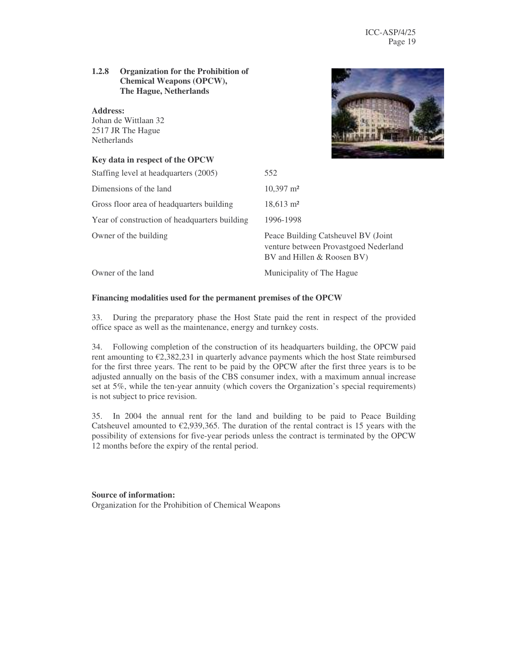#### **1.2.8 Organization for the Prohibition of Chemical Weapons (OPCW), The Hague, Netherlands**

#### **Address:**

Johan de Wittlaan 32 2517 JR The Hague Netherlands

#### **Key data in respect of the OPCW**



| Staffing level at headquarters (2005)         | 552                                                                                                        |
|-----------------------------------------------|------------------------------------------------------------------------------------------------------------|
| Dimensions of the land                        | $10,397 \text{ m}^2$                                                                                       |
| Gross floor area of headquarters building     | $18,613 \text{ m}^2$                                                                                       |
| Year of construction of headquarters building | 1996-1998                                                                                                  |
| Owner of the building                         | Peace Building Catsheuvel BV (Joint<br>venture between Provastgoed Nederland<br>BV and Hillen & Roosen BV) |
| Owner of the land                             | Municipality of The Hague                                                                                  |

#### **Financing modalities used for the permanent premises of the OPCW**

33. During the preparatory phase the Host State paid the rent in respect of the provided office space as well as the maintenance, energy and turnkey costs.

34. Following completion of the construction of its headquarters building, the OPCW paid rent amounting to  $\epsilon$ 2,382,231 in quarterly advance payments which the host State reimbursed for the first three years. The rent to be paid by the OPCW after the first three years is to be adjusted annually on the basis of the CBS consumer index, with a maximum annual increase set at 5%, while the ten-year annuity (which covers the Organization's special requirements) is not subject to price revision.

35. In 2004 the annual rent for the land and building to be paid to Peace Building Catsheuvel amounted to  $\epsilon$ 2,939,365. The duration of the rental contract is 15 years with the possibility of extensions for five-year periods unless the contract is terminated by the OPCW 12 months before the expiry of the rental period.

#### **Source of information:** Organization for the Prohibition of Chemical Weapons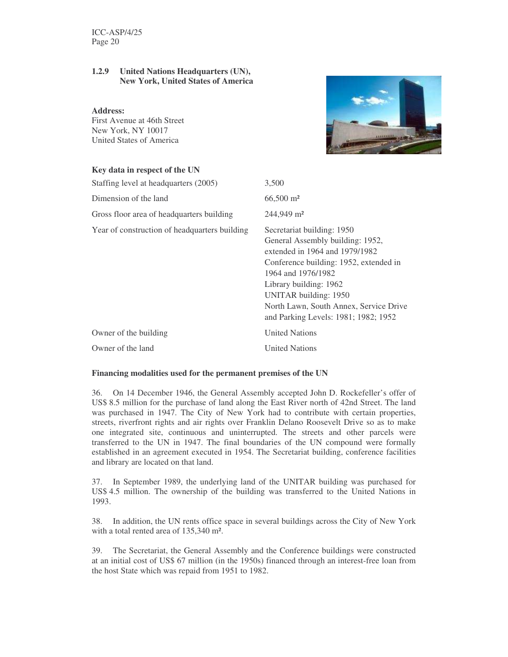#### **1.2.9 United Nations Headquarters (UN), New York, United States of America**

#### **Address:**

First Avenue at 46th Street New York, NY 10017 United States of America

#### **Key data in respect of the UN**



| <b>IVEY GATA IN LESPECT OF THE CITY</b>       |                                                                                                                                                                                                                                                                                                       |
|-----------------------------------------------|-------------------------------------------------------------------------------------------------------------------------------------------------------------------------------------------------------------------------------------------------------------------------------------------------------|
| Staffing level at headquarters (2005)         | 3,500                                                                                                                                                                                                                                                                                                 |
| Dimension of the land                         | $66,500 \text{ m}^2$                                                                                                                                                                                                                                                                                  |
| Gross floor area of headquarters building     | $244,949 \text{ m}^2$                                                                                                                                                                                                                                                                                 |
| Year of construction of headquarters building | Secretariat building: 1950<br>General Assembly building: 1952,<br>extended in 1964 and 1979/1982<br>Conference building: 1952, extended in<br>1964 and 1976/1982<br>Library building: 1962<br>UNITAR building: 1950<br>North Lawn, South Annex, Service Drive<br>and Parking Levels: 1981; 1982; 1952 |
| Owner of the building                         | <b>United Nations</b>                                                                                                                                                                                                                                                                                 |
| Owner of the land                             | <b>United Nations</b>                                                                                                                                                                                                                                                                                 |
|                                               |                                                                                                                                                                                                                                                                                                       |

#### **Financing modalities used for the permanent premises of the UN**

36. On 14 December 1946, the General Assembly accepted John D. Rockefeller's offer of US\$ 8.5 million for the purchase of land along the East River north of 42nd Street. The land was purchased in 1947. The City of New York had to contribute with certain properties, streets, riverfront rights and air rights over Franklin Delano Roosevelt Drive so as to make one integrated site, continuous and uninterrupted. The streets and other parcels were transferred to the UN in 1947. The final boundaries of the UN compound were formally established in an agreement executed in 1954. The Secretariat building, conference facilities and library are located on that land.

37. In September 1989, the underlying land of the UNITAR building was purchased for US\$ 4.5 million. The ownership of the building was transferred to the United Nations in 1993.

38. In addition, the UN rents office space in several buildings across the City of New York with a total rented area of 135,340 m².

39. The Secretariat, the General Assembly and the Conference buildings were constructed at an initial cost of US\$ 67 million (in the 1950s) financed through an interest-free loan from the host State which was repaid from 1951 to 1982.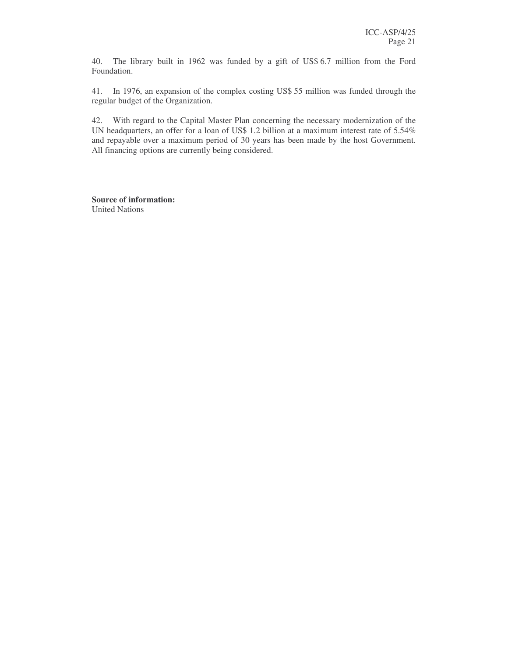40. The library built in 1962 was funded by a gift of US\$ 6.7 million from the Ford Foundation.

41. In 1976, an expansion of the complex costing US\$ 55 million was funded through the regular budget of the Organization.

42. With regard to the Capital Master Plan concerning the necessary modernization of the UN headquarters, an offer for a loan of US\$ 1.2 billion at a maximum interest rate of 5.54% and repayable over a maximum period of 30 years has been made by the host Government. All financing options are currently being considered.

**Source of information:** United Nations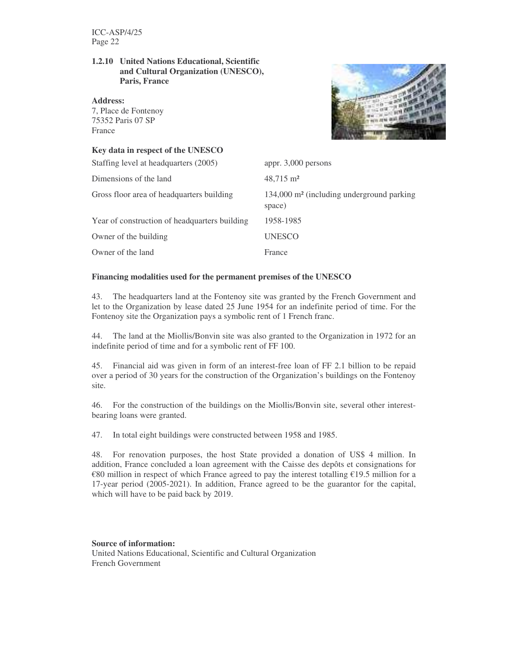#### **1.2.10 United Nations Educational, Scientific and Cultural Organization (UNESCO), Paris, France**

**Address:**

7, Place de Fontenoy 75352 Paris 07 SP France

#### **Key data in respect of the UNESCO**



| $134,000$ m <sup>2</sup> (including underground parking |
|---------------------------------------------------------|
|                                                         |
|                                                         |
|                                                         |
|                                                         |

#### **Financing modalities used for the permanent premises of the UNESCO**

43. The headquarters land at the Fontenoy site was granted by the French Government and let to the Organization by lease dated 25 June 1954 for an indefinite period of time. For the Fontenoy site the Organization pays a symbolic rent of 1 French franc.

44. The land at the Miollis/Bonvin site was also granted to the Organization in 1972 for an indefinite period of time and for a symbolic rent of FF 100.

45. Financial aid was given in form of an interest-free loan of FF 2.1 billion to be repaid over a period of 30 years for the construction of the Organization's buildings on the Fontenoy site.

46. For the construction of the buildings on the Miollis/Bonvin site, several other interestbearing loans were granted.

47. In total eight buildings were constructed between 1958 and 1985.

48. For renovation purposes, the host State provided a donation of US\$ 4 million. In addition, France concluded a loan agreement with the Caisse des depôts et consignations for €80 million in respect of which France agreed to pay the interest totalling €19.5 million for a 17-year period (2005-2021). In addition, France agreed to be the guarantor for the capital, which will have to be paid back by 2019.

#### **Source of information:**

United Nations Educational, Scientific and Cultural Organization French Government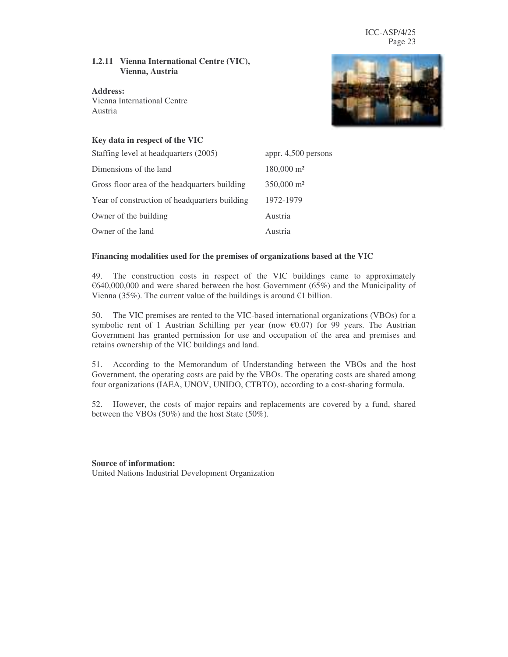#### **1.2.11 Vienna International Centre (VIC), Vienna, Austria**

**Address:** Vienna International Centre Austria



#### **Key data in respect of the VIC**

| Staffing level at headquarters (2005)         | appr. 4,500 persons   |
|-----------------------------------------------|-----------------------|
| Dimensions of the land                        | $180,000 \text{ m}^2$ |
| Gross floor area of the headquarters building | $350,000 \text{ m}^2$ |
| Year of construction of headquarters building | 1972-1979             |
| Owner of the building                         | Austria               |
| Owner of the land                             | Austria               |

#### **Financing modalities used for the premises of organizations based at the VIC**

49. The construction costs in respect of the VIC buildings came to approximately €640,000,000 and were shared between the host Government (65%) and the Municipality of Vienna (35%). The current value of the buildings is around  $€1$  billion.

50. The VIC premises are rented to the VIC-based international organizations (VBOs) for a symbolic rent of 1 Austrian Schilling per year (now  $\epsilon$ 0.07) for 99 years. The Austrian Government has granted permission for use and occupation of the area and premises and retains ownership of the VIC buildings and land.

51. According to the Memorandum of Understanding between the VBOs and the host Government, the operating costs are paid by the VBOs. The operating costs are shared among four organizations (IAEA, UNOV, UNIDO, CTBTO), according to a cost-sharing formula.

52. However, the costs of major repairs and replacements are covered by a fund, shared between the VBOs (50%) and the host State (50%).

#### **Source of information:**

United Nations Industrial Development Organization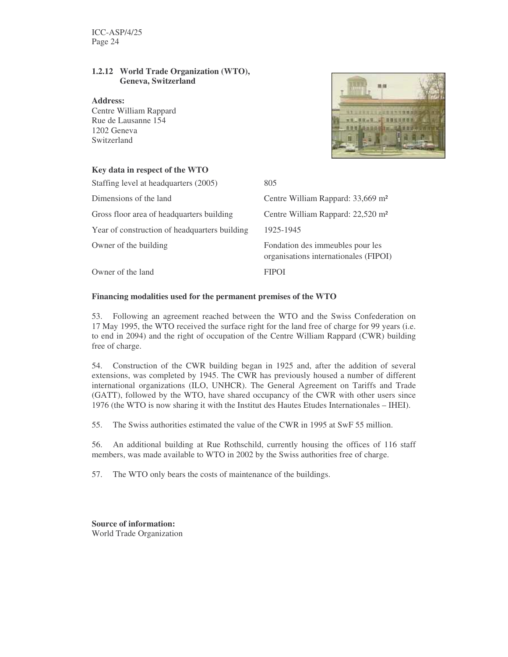#### **1.2.12 World Trade Organization (WTO), Geneva, Switzerland**

#### **Address:**

Centre William Rappard Rue de Lausanne 154 1202 Geneva Switzerland



#### **Key data in respect of the WTO**

| Staffing level at headquarters (2005)         | 805                                                                       |
|-----------------------------------------------|---------------------------------------------------------------------------|
| Dimensions of the land                        | Centre William Rappard: 33,669 m <sup>2</sup>                             |
| Gross floor area of headquarters building     | Centre William Rappard: 22,520 m <sup>2</sup>                             |
| Year of construction of headquarters building | 1925-1945                                                                 |
| Owner of the building                         | Fondation des immeubles pour les<br>organisations internationales (FIPOI) |
| Owner of the land                             | <b>FIPOI</b>                                                              |

#### **Financing modalities used for the permanent premises of the WTO**

53. Following an agreement reached between the WTO and the Swiss Confederation on 17 May 1995, the WTO received the surface right for the land free of charge for 99 years (i.e. to end in 2094) and the right of occupation of the Centre William Rappard (CWR) building free of charge.

54. Construction of the CWR building began in 1925 and, after the addition of several extensions, was completed by 1945. The CWR has previously housed a number of different international organizations (ILO, UNHCR). The General Agreement on Tariffs and Trade (GATT), followed by the WTO, have shared occupancy of the CWR with other users since 1976 (the WTO is now sharing it with the Institut des Hautes Etudes Internationales – IHEI).

55. The Swiss authorities estimated the value of the CWR in 1995 at SwF 55 million.

56. An additional building at Rue Rothschild, currently housing the offices of 116 staff members, was made available to WTO in 2002 by the Swiss authorities free of charge.

57. The WTO only bears the costs of maintenance of the buildings.

**Source of information:** World Trade Organization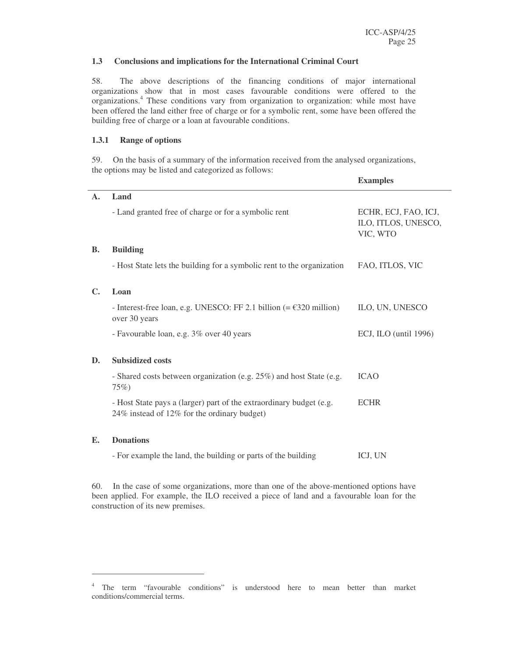#### **1.3 Conclusions and implications for the International Criminal Court**

58. The above descriptions of the financing conditions of major international organizations show that in most cases favourable conditions were offered to the organizations. <sup>4</sup> These conditions vary from organization to organization: while most have been offered the land either free of charge or for a symbolic rent, some have been offered the building free of charge or a loan at favourable conditions.

#### **1.3.1 Range of options**

59. On the basis of a summary of the information received from the analysed organizations, the options may be listed and categorized as follows:

|                |                                                                                                                    | <b>Examples</b>                                         |
|----------------|--------------------------------------------------------------------------------------------------------------------|---------------------------------------------------------|
| $\mathbf{A}$ . | Land                                                                                                               |                                                         |
|                | - Land granted free of charge or for a symbolic rent                                                               | ECHR, ECJ, FAO, ICJ,<br>ILO, ITLOS, UNESCO,<br>VIC, WTO |
| <b>B.</b>      | <b>Building</b>                                                                                                    |                                                         |
|                | - Host State lets the building for a symbolic rent to the organization                                             | FAO, ITLOS, VIC                                         |
| $\mathbf{C}$ . | Loan                                                                                                               |                                                         |
|                | - Interest-free loan, e.g. UNESCO: FF 2.1 billion $(=\text{\textsterling}320 \text{ million})$<br>over 30 years    | ILO, UN, UNESCO                                         |
|                | - Favourable loan, e.g. 3% over 40 years                                                                           | ECJ, ILO (until 1996)                                   |
| D.             | <b>Subsidized costs</b>                                                                                            |                                                         |
|                | - Shared costs between organization (e.g. 25%) and host State (e.g.<br>75%                                         | <b>ICAO</b>                                             |
|                | - Host State pays a (larger) part of the extraordinary budget (e.g.<br>24% instead of 12% for the ordinary budget) | <b>ECHR</b>                                             |
| Е.             | <b>Donations</b>                                                                                                   |                                                         |
|                | - For example the land, the building or parts of the building                                                      | ICJ, UN                                                 |

60. In the case of some organizations, more than one of the above-mentioned options have been applied. For example, the ILO received a piece of land and a favourable loan for the construction of its new premises.

<sup>4</sup> The term "favourable conditions" is understood here to mean better than market conditions/commercial terms.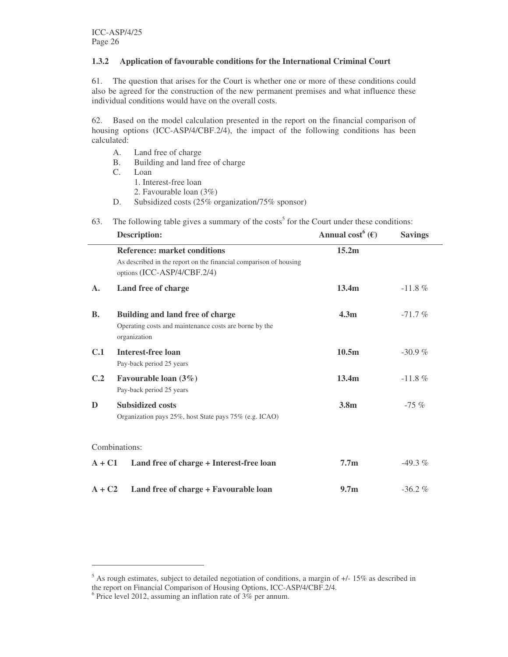#### **1.3.2 Application of favourable conditions for the International Criminal Court**

61. The question that arises for the Court is whether one or more of these conditions could also be agreed for the construction of the new permanent premises and what influence these individual conditions would have on the overall costs.

62. Based on the model calculation presented in the report on the financial comparison of housing options (ICC-ASP/4/CBF.2/4), the impact of the following conditions has been calculated:

- A. Land free of charge
- B. Building and land free of charge
- C. Loan
	- 1. Interest-free loan
	- 2. Favourable loan (3%)
- D. Subsidized costs (25% organization/75% sponsor)

|  |  |  | 63. The following table gives a summary of the costs <sup>5</sup> for the Court under these conditions: |  |
|--|--|--|---------------------------------------------------------------------------------------------------------|--|
|--|--|--|---------------------------------------------------------------------------------------------------------|--|

|                | <b>Description:</b>                                                                                                                     | Annual cost <sup>6</sup> ( $\epsilon$ ) | <b>Savings</b> |
|----------------|-----------------------------------------------------------------------------------------------------------------------------------------|-----------------------------------------|----------------|
|                | <b>Reference: market conditions</b><br>As described in the report on the financial comparison of housing<br>options (ICC-ASP/4/CBF.2/4) | 15.2m                                   |                |
| $\mathbf{A}$ . | Land free of charge                                                                                                                     | 13.4 <sub>m</sub>                       | $-11.8 \%$     |
| <b>B.</b>      | <b>Building and land free of charge</b><br>Operating costs and maintenance costs are borne by the<br>organization                       | 4.3 <sub>m</sub>                        | $-71.7%$       |
| C.1            | <b>Interest-free loan</b><br>Pay-back period 25 years                                                                                   | 10.5m                                   | $-30.9%$       |
| C.2            | Favourable loan $(3\%)$<br>Pay-back period 25 years                                                                                     | 13.4m                                   | $-11.8\%$      |
| D              | <b>Subsidized costs</b><br>Organization pays 25%, host State pays 75% (e.g. ICAO)                                                       | 3.8 <sub>m</sub>                        | $-75%$         |
|                | Combinations:                                                                                                                           |                                         |                |
| $A + C1$       | Land free of charge + Interest-free loan                                                                                                | 7.7 <sub>m</sub>                        | $-49.3\%$      |
| $A + C2$       | Land free of charge + Favourable loan                                                                                                   | 9.7 <sub>m</sub>                        | $-36.2%$       |

 $5$  As rough estimates, subject to detailed negotiation of conditions, a margin of  $+/-15\%$  as described in the report on Financial Comparison of Housing Options, ICC-ASP/4/CBF.2/4.

<sup>&</sup>lt;sup>6</sup> Price level 2012, assuming an inflation rate of 3% per annum.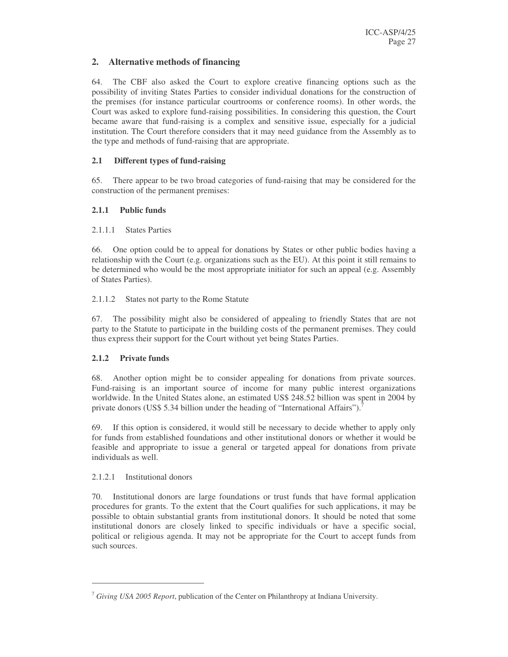#### **2. Alternative methods of financing**

64. The CBF also asked the Court to explore creative financing options such as the possibility of inviting States Parties to consider individual donations for the construction of the premises (for instance particular courtrooms or conference rooms). In other words, the Court was asked to explore fund-raising possibilities. In considering this question, the Court became aware that fund-raising is a complex and sensitive issue, especially for a judicial institution. The Court therefore considers that it may need guidance from the Assembly as to the type and methods of fund-raising that are appropriate.

#### **2.1 Different types of fund-raising**

65. There appear to be two broad categories of fund-raising that may be considered for the construction of the permanent premises:

#### **2.1.1 Public funds**

#### 2.1.1.1 States Parties

66. One option could be to appeal for donations by States or other public bodies having a relationship with the Court (e.g. organizations such as the EU). At this point it still remains to be determined who would be the most appropriate initiator for such an appeal (e.g. Assembly of States Parties).

#### 2.1.1.2 States not party to the Rome Statute

67. The possibility might also be considered of appealing to friendly States that are not party to the Statute to participate in the building costs of the permanent premises. They could thus express their support for the Court without yet being States Parties.

#### **2.1.2 Private funds**

68. Another option might be to consider appealing for donations from private sources. Fund-raising is an important source of income for many public interest organizations worldwide. In the United States alone, an estimated US\$ 248.52 billion was spent in 2004 by private donors (US\$ 5.34 billion under the heading of "International Affairs").<sup>7</sup>

69. If this option is considered, it would still be necessary to decide whether to apply only for funds from established foundations and other institutional donors or whether it would be feasible and appropriate to issue a general or targeted appeal for donations from private individuals as well.

#### 2.1.2.1 Institutional donors

70. Institutional donors are large foundations or trust funds that have formal application procedures for grants. To the extent that the Court qualifies for such applications, it may be possible to obtain substantial grants from institutional donors. It should be noted that some institutional donors are closely linked to specific individuals or have a specific social, political or religious agenda. It may not be appropriate for the Court to accept funds from such sources.

<sup>7</sup> *Giving USA 2005 Report*, publication of the Center on Philanthropy at Indiana University.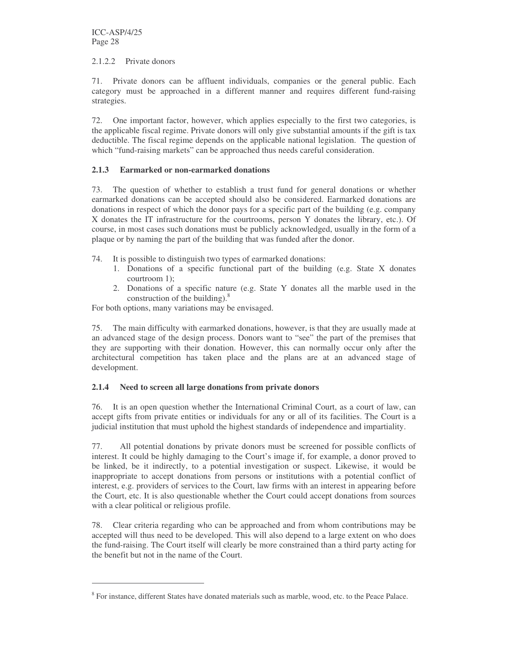#### 2.1.2.2 Private donors

71. Private donors can be affluent individuals, companies or the general public. Each category must be approached in a different manner and requires different fund-raising strategies.

72. One important factor, however, which applies especially to the first two categories, is the applicable fiscal regime. Private donors will only give substantial amounts if the gift is tax deductible. The fiscal regime depends on the applicable national legislation. The question of which "fund-raising markets" can be approached thus needs careful consideration.

#### **2.1.3 Earmarked or non-earmarked donations**

73. The question of whether to establish a trust fund for general donations or whether earmarked donations can be accepted should also be considered. Earmarked donations are donations in respect of which the donor pays for a specific part of the building (e.g. company X donates the IT infrastructure for the courtrooms, person Y donates the library, etc.). Of course, in most cases such donations must be publicly acknowledged, usually in the form of a plaque or by naming the part of the building that was funded after the donor.

- 74. It is possible to distinguish two types of earmarked donations:
	- 1. Donations of a specific functional part of the building (e.g. State X donates courtroom 1);
	- 2. Donations of a specific nature (e.g. State Y donates all the marble used in the construction of the building). $8$

For both options, many variations may be envisaged.

The main difficulty with earmarked donations, however, is that they are usually made at an advanced stage of the design process. Donors want to "see" the part of the premises that they are supporting with their donation. However, this can normally occur only after the architectural competition has taken place and the plans are at an advanced stage of development.

#### **2.1.4 Need to screen all large donations from private donors**

76. It is an open question whether the International Criminal Court, as a court of law, can accept gifts from private entities or individuals for any or all of its facilities. The Court is a judicial institution that must uphold the highest standards of independence and impartiality.

77. All potential donations by private donors must be screened for possible conflicts of interest. It could be highly damaging to the Court's image if, for example, a donor proved to be linked, be it indirectly, to a potential investigation or suspect. Likewise, it would be inappropriate to accept donations from persons or institutions with a potential conflict of interest, e.g. providers of services to the Court, law firms with an interest in appearing before the Court, etc. It is also questionable whether the Court could accept donations from sources with a clear political or religious profile.

78. Clear criteria regarding who can be approached and from whom contributions may be accepted will thus need to be developed. This will also depend to a large extent on who does the fund-raising. The Court itself will clearly be more constrained than a third party acting for the benefit but not in the name of the Court.

<sup>&</sup>lt;sup>8</sup> For instance, different States have donated materials such as marble, wood, etc. to the Peace Palace.